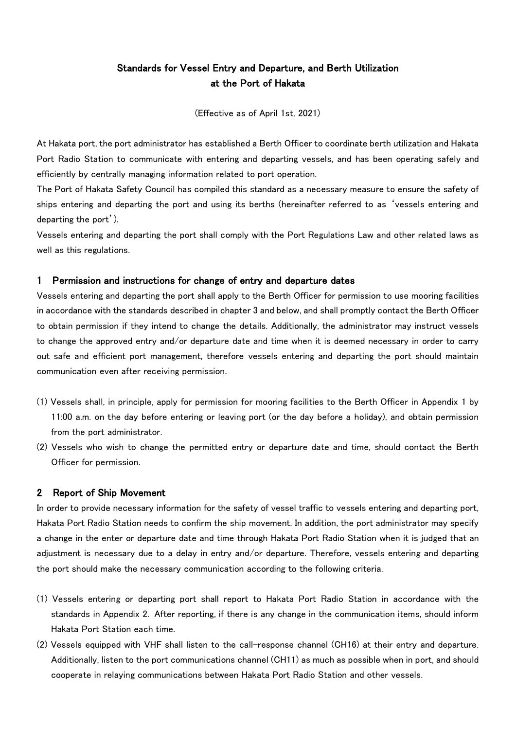# Standards for Vessel Entry and Departure, and Berth Utilization at the Port of Hakata

(Effective as of April 1st, 2021)

At Hakata port, the port administrator has established a Berth Officer to coordinate berth utilization and Hakata Port Radio Station to communicate with entering and departing vessels, and has been operating safely and efficiently by centrally managing information related to port operation.

The Port of Hakata Safety Council has compiled this standard as a necessary measure to ensure the safety of ships entering and departing the port and using its berths (hereinafter referred to as 'vessels entering and departing the port').

Vessels entering and departing the port shall comply with the Port Regulations Law and other related laws as well as this regulations.

#### 1 Permission and instructions for change of entry and departure dates

Vessels entering and departing the port shall apply to the Berth Officer for permission to use mooring facilities in accordance with the standards described in chapter 3 and below, and shall promptly contact the Berth Officer to obtain permission if they intend to change the details. Additionally, the administrator may instruct vessels to change the approved entry and/or departure date and time when it is deemed necessary in order to carry out safe and efficient port management, therefore vessels entering and departing the port should maintain communication even after receiving permission.

- (1) Vessels shall, in principle, apply for permission for mooring facilities to the Berth Officer in Appendix 1 by 11:00 a.m. on the day before entering or leaving port (or the day before a holiday), and obtain permission from the port administrator.
- (2) Vessels who wish to change the permitted entry or departure date and time, should contact the Berth Officer for permission.

#### 2 Report of Ship Movement

In order to provide necessary information for the safety of vessel traffic to vessels entering and departing port, Hakata Port Radio Station needs to confirm the ship movement. In addition, the port administrator may specify a change in the enter or departure date and time through Hakata Port Radio Station when it is judged that an adjustment is necessary due to a delay in entry and/or departure. Therefore, vessels entering and departing the port should make the necessary communication according to the following criteria.

- (1) Vessels entering or departing port shall report to Hakata Port Radio Station in accordance with the standards in Appendix 2. After reporting, if there is any change in the communication items, should inform Hakata Port Station each time.
- (2) Vessels equipped with VHF shall listen to the call-response channel (CH16) at their entry and departure. Additionally, listen to the port communications channel (CH11) as much as possible when in port, and should cooperate in relaying communications between Hakata Port Radio Station and other vessels.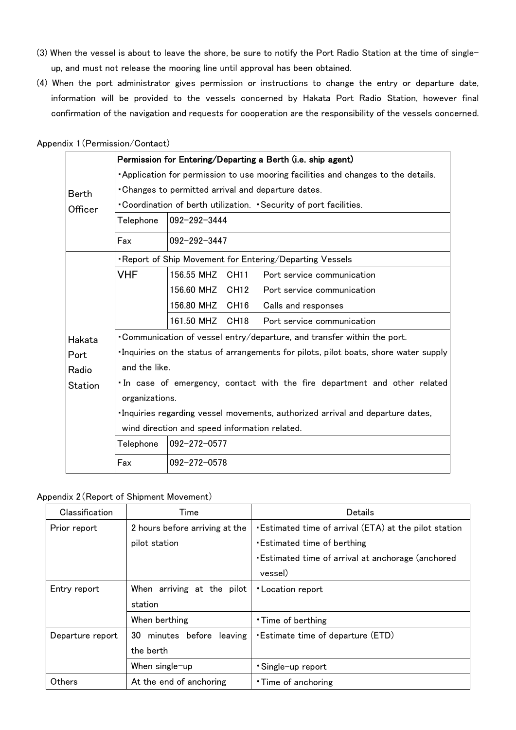- (3) When the vessel is about to leave the shore, be sure to notify the Port Radio Station at the time of singleup, and must not release the mooring line until approval has been obtained.
- (4) When the port administrator gives permission or instructions to change the entry or departure date, information will be provided to the vessels concerned by Hakata Port Radio Station, however final confirmation of the navigation and requests for cooperation are the responsibility of the vessels concerned.

|                | Permission for Entering/Departing a Berth (i.e. ship agent)                             |              |                  |                                                                   |  |  |
|----------------|-----------------------------------------------------------------------------------------|--------------|------------------|-------------------------------------------------------------------|--|--|
| <b>Berth</b>   | <b>Application for permission to use mooring facilities and changes to the details.</b> |              |                  |                                                                   |  |  |
|                |                                                                                         |              |                  | . Changes to permitted arrival and departure dates.               |  |  |
| Officer        |                                                                                         |              |                  | . Coordination of berth utilization. Security of port facilities. |  |  |
|                | Telephone                                                                               | 092-292-3444 |                  |                                                                   |  |  |
|                | Fax                                                                                     | 092-292-3447 |                  |                                                                   |  |  |
|                |                                                                                         |              |                  | . Report of Ship Movement for Entering/Departing Vessels          |  |  |
|                | <b>VHF</b>                                                                              | 156.55 MHZ   | CH11             | Port service communication                                        |  |  |
|                |                                                                                         | 156.60 MHZ   | CH12             | Port service communication                                        |  |  |
|                |                                                                                         | 156.80 MHZ   | CH <sub>16</sub> | Calls and responses                                               |  |  |
|                |                                                                                         | 161.50 MHZ   | CH <sub>18</sub> | Port service communication                                        |  |  |
| Hakata         | . Communication of vessel entry/departure, and transfer within the port.                |              |                  |                                                                   |  |  |
| Port           | . Inquiries on the status of arrangements for pilots, pilot boats, shore water supply   |              |                  |                                                                   |  |  |
| Radio          | and the like.                                                                           |              |                  |                                                                   |  |  |
| <b>Station</b> | In case of emergency, contact with the fire department and other related                |              |                  |                                                                   |  |  |
|                | organizations.                                                                          |              |                  |                                                                   |  |  |
|                | ·Inquiries regarding vessel movements, authorized arrival and departure dates,          |              |                  |                                                                   |  |  |
|                | wind direction and speed information related.                                           |              |                  |                                                                   |  |  |
|                | Telephone                                                                               | 092-272-0577 |                  |                                                                   |  |  |
|                | Fax                                                                                     | 092-272-0578 |                  |                                                                   |  |  |

### Appendix 1(Permission/Contact)

### Appendix 2(Report of Shipment Movement)

| Classification   | Time                            | Details                                                 |
|------------------|---------------------------------|---------------------------------------------------------|
| Prior report     | 2 hours before arriving at the  | . Estimated time of arrival (ETA) at the pilot station  |
|                  | pilot station                   | <b>Estimated time of berthing</b>                       |
|                  |                                 | <b>Estimated time of arrival at anchorage (anchored</b> |
|                  |                                 | vessel)                                                 |
| Entry report     | When arriving at the pilot      | *Location report                                        |
|                  | station                         |                                                         |
|                  | When berthing                   | • Time of berthing                                      |
| Departure report | minutes before<br>leaving<br>30 | <b>Estimate time of departure (ETD)</b>                 |
|                  | the berth                       |                                                         |
|                  | When single-up                  | • Single-up report                                      |
| Others           | At the end of anchoring         | • Time of anchoring                                     |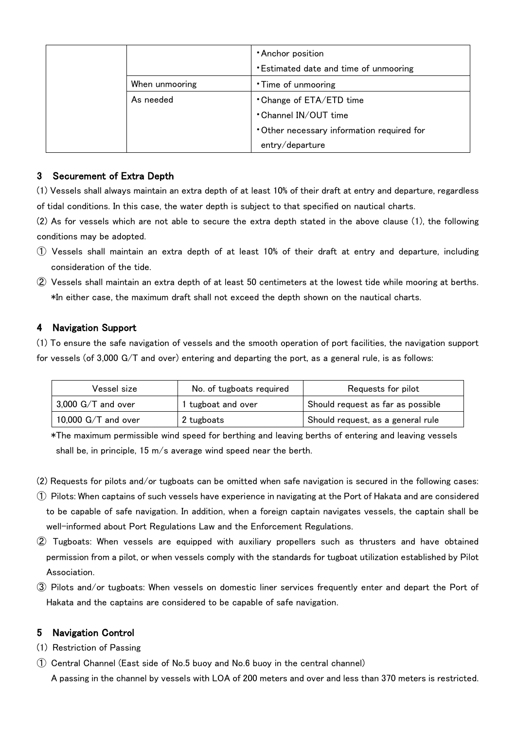|                                       | <b>Anchor position</b>                     |  |
|---------------------------------------|--------------------------------------------|--|
|                                       | *Estimated date and time of unmooring      |  |
| When unmooring<br>• Time of unmooring |                                            |  |
| As needed                             | • Change of ETA/ETD time                   |  |
|                                       | • Channel IN/OUT time                      |  |
|                                       | • Other necessary information required for |  |
|                                       | entry/departure                            |  |

# 3 Securement of Extra Depth

(1) Vessels shall always maintain an extra depth of at least 10% of their draft at entry and departure, regardless of tidal conditions. In this case, the water depth is subject to that specified on nautical charts.

(2) As for vessels which are not able to secure the extra depth stated in the above clause (1), the following conditions may be adopted.

- ① Vessels shall maintain an extra depth of at least 10% of their draft at entry and departure, including consideration of the tide.
- ② Vessels shall maintain an extra depth of at least 50 centimeters at the lowest tide while mooring at berths. \*In either case, the maximum draft shall not exceed the depth shown on the nautical charts.

## 4 Navigation Support

(1) To ensure the safe navigation of vessels and the smooth operation of port facilities, the navigation support for vessels (of 3,000 G/T and over) entering and departing the port, as a general rule, is as follows:

| Vessel size                | No. of tugboats required | Requests for pilot                |
|----------------------------|--------------------------|-----------------------------------|
| $\vert$ 3,000 G/T and over | tugboat and over         | Should request as far as possible |
| 10,000 $G/T$ and over      | 2 tugboats               | Should request, as a general rule |

\*The maximum permissible wind speed for berthing and leaving berths of entering and leaving vessels shall be, in principle, 15 m/s average wind speed near the berth.

- (2) Requests for pilots and/or tugboats can be omitted when safe navigation is secured in the following cases:
- ① Pilots: When captains of such vessels have experience in navigating at the Port of Hakata and are considered to be capable of safe navigation. In addition, when a foreign captain navigates vessels, the captain shall be well-informed about Port Regulations Law and the Enforcement Regulations.
- ② Tugboats: When vessels are equipped with auxiliary propellers such as thrusters and have obtained permission from a pilot, or when vessels comply with the standards for tugboat utilization established by Pilot Association.
- ③ Pilots and/or tugboats: When vessels on domestic liner services frequently enter and depart the Port of Hakata and the captains are considered to be capable of safe navigation.

# 5 Navigation Control

- (1) Restriction of Passing
- ① Central Channel (East side of No.5 buoy and No.6 buoy in the central channel)

A passing in the channel by vessels with LOA of 200 meters and over and less than 370 meters is restricted.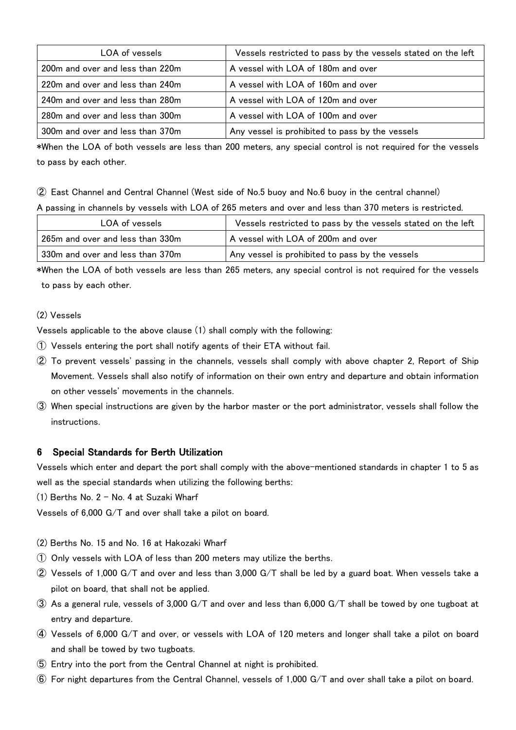| LOA of vessels                   | Vessels restricted to pass by the vessels stated on the left |
|----------------------------------|--------------------------------------------------------------|
| 200m and over and less than 220m | A vessel with LOA of 180m and over                           |
| 220m and over and less than 240m | A vessel with LOA of 160m and over                           |
| 240m and over and less than 280m | A vessel with LOA of 120m and over                           |
| 280m and over and less than 300m | A vessel with LOA of 100m and over                           |
| 300m and over and less than 370m | Any vessel is prohibited to pass by the vessels              |

\*When the LOA of both vessels are less than 200 meters, any special control is not required for the vessels to pass by each other.

② East Channel and Central Channel (West side of No.5 buoy and No.6 buoy in the central channel)

A passing in channels by vessels with LOA of 265 meters and over and less than 370 meters is restricted.

| LOA of vessels                   | Vessels restricted to pass by the vessels stated on the left |  |
|----------------------------------|--------------------------------------------------------------|--|
| 265m and over and less than 330m | A vessel with LOA of 200m and over                           |  |
| 330m and over and less than 370m | Any vessel is prohibited to pass by the vessels              |  |

\*When the LOA of both vessels are less than 265 meters, any special control is not required for the vessels to pass by each other.

### (2) Vessels

Vessels applicable to the above clause (1) shall comply with the following:

- ① Vessels entering the port shall notify agents of their ETA without fail.
- ② To prevent vessels' passing in the channels, vessels shall comply with above chapter 2, Report of Ship Movement. Vessels shall also notify of information on their own entry and departure and obtain information on other vessels' movements in the channels.
- ③ When special instructions are given by the harbor master or the port administrator, vessels shall follow the instructions.

### 6 Special Standards for Berth Utilization

Vessels which enter and depart the port shall comply with the above-mentioned standards in chapter 1 to 5 as well as the special standards when utilizing the following berths:

 $(1)$  Berths No. 2 - No. 4 at Suzaki Wharf

Vessels of 6,000 G/T and over shall take a pilot on board.

- (2) Berths No. 15 and No. 16 at Hakozaki Wharf
- ① Only vessels with LOA of less than 200 meters may utilize the berths.
- ② Vessels of 1,000 G/T and over and less than 3,000 G/T shall be led by a guard boat. When vessels take a pilot on board, that shall not be applied.
- ③ As a general rule, vessels of 3,000 G/T and over and less than 6,000 G/T shall be towed by one tugboat at entry and departure.
- ④ Vessels of 6,000 G/T and over, or vessels with LOA of 120 meters and longer shall take a pilot on board and shall be towed by two tugboats.
- ⑤ Entry into the port from the Central Channel at night is prohibited.
- ⑥ For night departures from the Central Channel, vessels of 1,000 G/T and over shall take a pilot on board.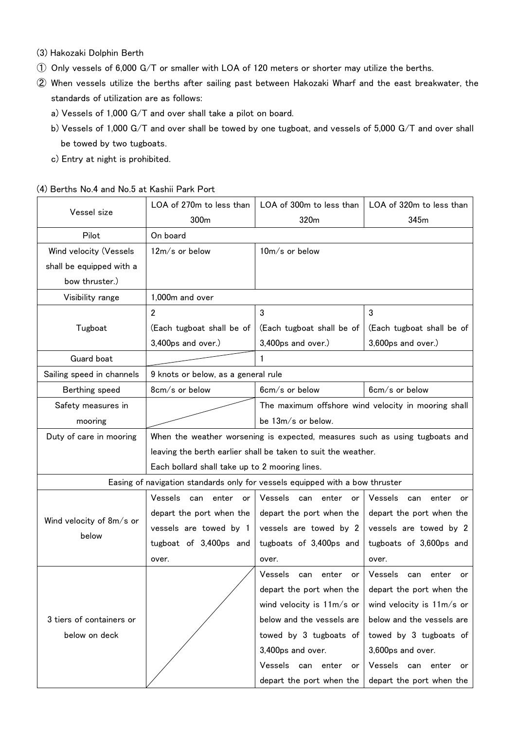- (3) Hakozaki Dolphin Berth
- ① Only vessels of 6,000 G/T or smaller with LOA of 120 meters or shorter may utilize the berths.
- ② When vessels utilize the berths after sailing past between Hakozaki Wharf and the east breakwater, the standards of utilization are as follows:
	- a) Vessels of 1,000 G/T and over shall take a pilot on board.
	- b) Vessels of 1,000 G/T and over shall be towed by one tugboat, and vessels of 5,000 G/T and over shall be towed by two tugboats.
	- c) Entry at night is prohibited.

### (4) Berths No.4 and No.5 at Kashii Park Port

|                           | LOA of 270m to less than                                                     | LOA of 300m to less than                            | LOA of 320m to less than      |  |  |  |
|---------------------------|------------------------------------------------------------------------------|-----------------------------------------------------|-------------------------------|--|--|--|
| Vessel size               | 300m                                                                         | 320m                                                | 345m                          |  |  |  |
| Pilot                     | On board                                                                     |                                                     |                               |  |  |  |
| Wind velocity (Vessels    | 12m/s or below                                                               | 10m/s or below                                      |                               |  |  |  |
| shall be equipped with a  |                                                                              |                                                     |                               |  |  |  |
| bow thruster.)            |                                                                              |                                                     |                               |  |  |  |
| Visibility range          | 1,000m and over                                                              |                                                     |                               |  |  |  |
|                           | $\overline{2}$                                                               | 3                                                   | $\mathbf{3}$                  |  |  |  |
| Tugboat                   | (Each tugboat shall be of                                                    | (Each tugboat shall be of                           | (Each tugboat shall be of     |  |  |  |
|                           | 3,400ps and over.)                                                           | 3,400ps and over.)                                  | 3,600ps and over.)            |  |  |  |
| Guard boat                |                                                                              |                                                     |                               |  |  |  |
| Sailing speed in channels | 9 knots or below, as a general rule                                          |                                                     |                               |  |  |  |
| Berthing speed            | 8cm/s or below                                                               | 6cm/s or below                                      | 6cm/s or below                |  |  |  |
| Safety measures in        |                                                                              | The maximum offshore wind velocity in mooring shall |                               |  |  |  |
| mooring                   |                                                                              | be 13m/s or below.                                  |                               |  |  |  |
| Duty of care in mooring   | When the weather worsening is expected, measures such as using tugboats and  |                                                     |                               |  |  |  |
|                           | leaving the berth earlier shall be taken to suit the weather.                |                                                     |                               |  |  |  |
|                           | Each bollard shall take up to 2 mooring lines.                               |                                                     |                               |  |  |  |
|                           | Easing of navigation standards only for vessels equipped with a bow thruster |                                                     |                               |  |  |  |
|                           | Vessels<br>enter<br>can<br>or                                                | Vessels<br>can<br>enter<br>or                       | Vessels<br>enter<br>can<br>or |  |  |  |
| Wind velocity of 8m/s or  | depart the port when the                                                     | depart the port when the                            | depart the port when the      |  |  |  |
| below                     | vessels are towed by 1                                                       | vessels are towed by 2                              | vessels are towed by 2        |  |  |  |
|                           | tugboat of 3,400ps and                                                       | tugboats of 3,400ps and                             | tugboats of 3,600ps and       |  |  |  |
|                           | over.                                                                        | over.                                               | over.                         |  |  |  |
|                           |                                                                              | Vessels<br>can<br>enter<br>or                       | Vessels<br>enter<br>can<br>or |  |  |  |
|                           |                                                                              | depart the port when the                            | depart the port when the      |  |  |  |
|                           |                                                                              | wind velocity is 11m/s or                           | wind velocity is $11m/s$ or   |  |  |  |
| 3 tiers of containers or  |                                                                              | below and the vessels are                           | below and the vessels are     |  |  |  |
| below on deck             |                                                                              | towed by 3 tugboats of                              | towed by 3 tugboats of        |  |  |  |
|                           |                                                                              | 3,400ps and over.                                   | 3,600ps and over.             |  |  |  |
|                           |                                                                              | Vessels<br>can<br>enter<br>or                       | Vessels can enter<br>or       |  |  |  |
|                           |                                                                              | depart the port when the                            | depart the port when the      |  |  |  |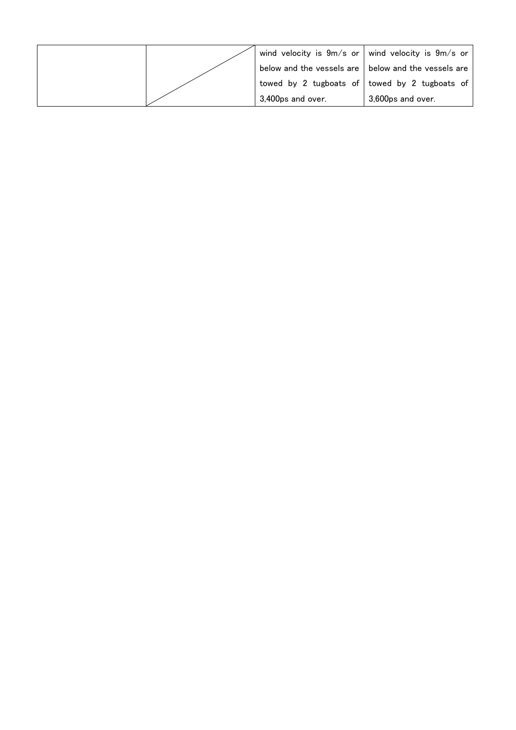|  |                                                       | wind velocity is $9m/s$ or wind velocity is $9m/s$ or |
|--|-------------------------------------------------------|-------------------------------------------------------|
|  | below and the vessels are I below and the vessels are |                                                       |
|  |                                                       | towed by 2 tugboats of towed by 2 tugboats of         |
|  | 3,400ps and over.                                     | 3,600ps and over.                                     |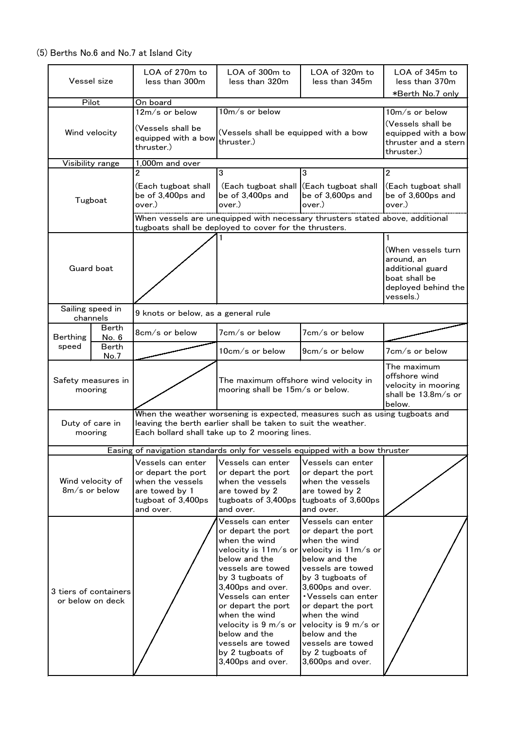# (5) Berths No.6 and No.7 at Island City

|                               | Vessel size                               | LOA of 270m to<br>less than 300m                                                                                                                                                               | LOA of 300m to<br>less than 320m                                                                                                                                                                                                                                                                                                               | LOA of 320m to<br>less than 345m                                                                                                                                                                                                                                                                                                               | LOA of 345m to<br>less than 370m                                                                          |  |
|-------------------------------|-------------------------------------------|------------------------------------------------------------------------------------------------------------------------------------------------------------------------------------------------|------------------------------------------------------------------------------------------------------------------------------------------------------------------------------------------------------------------------------------------------------------------------------------------------------------------------------------------------|------------------------------------------------------------------------------------------------------------------------------------------------------------------------------------------------------------------------------------------------------------------------------------------------------------------------------------------------|-----------------------------------------------------------------------------------------------------------|--|
|                               | Pilot                                     | On board                                                                                                                                                                                       |                                                                                                                                                                                                                                                                                                                                                |                                                                                                                                                                                                                                                                                                                                                | *Berth No.7 only                                                                                          |  |
|                               |                                           | 12m/s or below                                                                                                                                                                                 | 10m/s or below                                                                                                                                                                                                                                                                                                                                 |                                                                                                                                                                                                                                                                                                                                                | 10m/s or below                                                                                            |  |
| Wind velocity                 |                                           | (Vessels shall be<br>equipped with a bow<br>thruster.)                                                                                                                                         | (Vessels shall be equipped with a bow<br>thruster.)                                                                                                                                                                                                                                                                                            |                                                                                                                                                                                                                                                                                                                                                | (Vessels shall be<br>equipped with a bow<br>thruster and a stern<br>thruster.)                            |  |
|                               | Visibility range                          | 1,000m and over                                                                                                                                                                                |                                                                                                                                                                                                                                                                                                                                                |                                                                                                                                                                                                                                                                                                                                                |                                                                                                           |  |
|                               | Tugboat                                   | $\overline{2}$<br>(Each tugboat shall<br>be of 3,400ps and<br>over.)                                                                                                                           | 3<br>(Each tugboat shall<br>be of 3,400ps and<br>over.)                                                                                                                                                                                                                                                                                        | $\overline{3}$<br>(Each tugboat shall<br>be of 3,600ps and<br>over.)                                                                                                                                                                                                                                                                           | $\overline{2}$<br>(Each tugboat shall<br>be of 3,600ps and<br>over.)                                      |  |
|                               |                                           |                                                                                                                                                                                                | When vessels are unequipped with necessary thrusters stated above, additional<br>tugboats shall be deployed to cover for the thrusters.                                                                                                                                                                                                        |                                                                                                                                                                                                                                                                                                                                                |                                                                                                           |  |
| Guard boat                    |                                           |                                                                                                                                                                                                |                                                                                                                                                                                                                                                                                                                                                |                                                                                                                                                                                                                                                                                                                                                | (When vessels turn<br>around, an<br>additional guard<br>boat shall be<br>deployed behind the<br>vessels.) |  |
|                               | Sailing speed in<br>channels              | 9 knots or below, as a general rule                                                                                                                                                            |                                                                                                                                                                                                                                                                                                                                                |                                                                                                                                                                                                                                                                                                                                                |                                                                                                           |  |
| <b>Berthing</b>               | <b>Berth</b><br>No. 6                     | 8cm/s or below                                                                                                                                                                                 | 7cm/s or below                                                                                                                                                                                                                                                                                                                                 | 7cm/s or below                                                                                                                                                                                                                                                                                                                                 |                                                                                                           |  |
| speed                         | Berth<br>No.7                             |                                                                                                                                                                                                | 10cm/s or below                                                                                                                                                                                                                                                                                                                                | 9cm/s or below                                                                                                                                                                                                                                                                                                                                 | 7cm/s or below                                                                                            |  |
| Safety measures in<br>mooring |                                           |                                                                                                                                                                                                | The maximum offshore wind velocity in<br>mooring shall be 15m/s or below.                                                                                                                                                                                                                                                                      |                                                                                                                                                                                                                                                                                                                                                | The maximum<br>offshore wind<br>velocity in mooring<br>shall be $13.8m/s$ or<br>below.                    |  |
|                               | Duty of care in<br>mooring                | When the weather worsening is expected, measures such as using tugboats and<br>leaving the berth earlier shall be taken to suit the weather.<br>Each bollard shall take up to 2 mooring lines. |                                                                                                                                                                                                                                                                                                                                                |                                                                                                                                                                                                                                                                                                                                                |                                                                                                           |  |
|                               |                                           |                                                                                                                                                                                                | Easing of navigation standards only for vessels equipped with a bow thruster                                                                                                                                                                                                                                                                   |                                                                                                                                                                                                                                                                                                                                                |                                                                                                           |  |
|                               | Wind velocity of<br>$8m/s$ or below       | Vessels can enter<br>or depart the port<br>when the vessels<br>are towed by 1<br>tugboat of 3,400ps<br>and over.                                                                               | Vessels can enter<br>or depart the port<br>when the vessels<br>are towed by 2<br>tugboats of 3,400ps tugboats of 3,600ps<br>and over.                                                                                                                                                                                                          | Vessels can enter<br>or depart the port<br>when the vessels<br>are towed by 2<br>and over.                                                                                                                                                                                                                                                     |                                                                                                           |  |
|                               | 3 tiers of containers<br>or below on deck |                                                                                                                                                                                                | Vessels can enter<br>or depart the port<br>when the wind<br>velocity is $11m/s$ or<br>below and the<br>vessels are towed<br>by 3 tugboats of<br>3,400ps and over.<br>Vessels can enter<br>or depart the port<br>when the wind<br>velocity is $9 \text{ m/s}$ or<br>below and the<br>vessels are towed<br>by 2 tugboats of<br>3,400ps and over. | Vessels can enter<br>or depart the port<br>when the wind<br>velocity is 11m/s or<br>below and the<br>vessels are towed<br>by 3 tugboats of<br>3,600ps and over.<br>• Vessels can enter<br>or depart the port<br>when the wind<br>velocity is $9 \text{ m/s}$ or<br>below and the<br>vessels are towed<br>by 2 tugboats of<br>3,600ps and over. |                                                                                                           |  |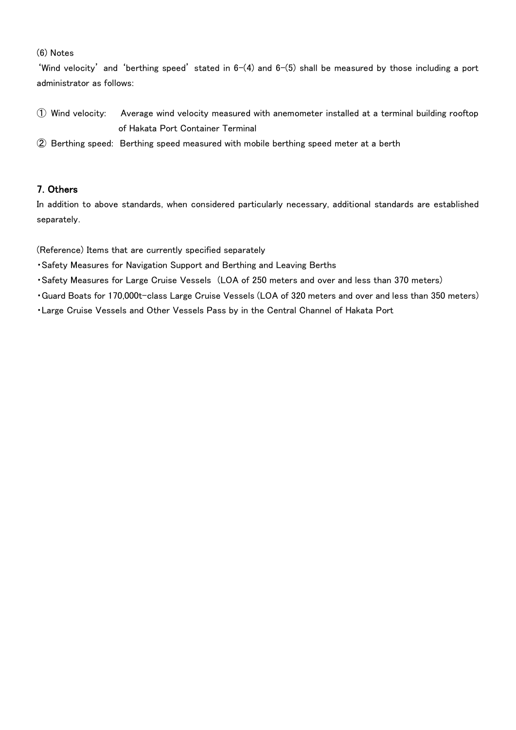### (6) Notes

'Wind velocity' and 'berthing speed' stated in  $6-(4)$  and  $6-(5)$  shall be measured by those including a port administrator as follows:

- ① Wind velocity: Average wind velocity measured with anemometer installed at a terminal building rooftop of Hakata Port Container Terminal
- ② Berthing speed: Berthing speed measured with mobile berthing speed meter at a berth

### 7. Others

In addition to above standards, when considered particularly necessary, additional standards are established separately.

(Reference) Items that are currently specified separately

- ・Safety Measures for Navigation Support and Berthing and Leaving Berths
- ・Safety Measures for Large Cruise Vessels (LOA of 250 meters and over and less than 370 meters)
- ・Guard Boats for 170,000t-class Large Cruise Vessels (LOA of 320 meters and over and less than 350 meters)
- ・Large Cruise Vessels and Other Vessels Pass by in the Central Channel of Hakata Port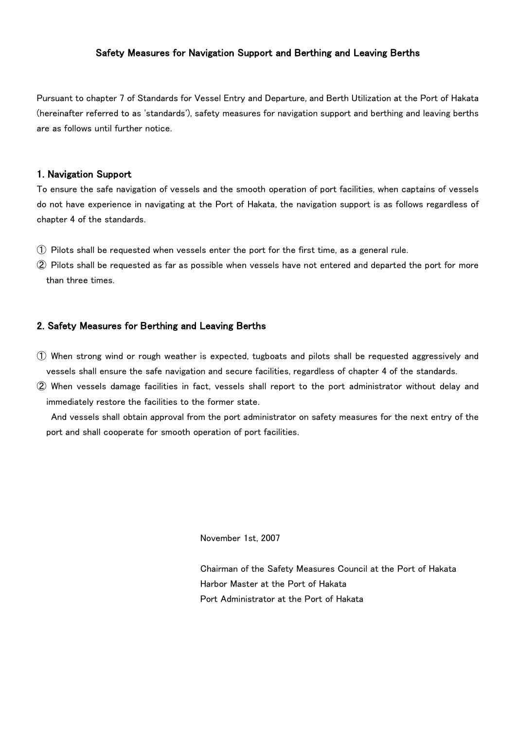### Safety Measures for Navigation Support and Berthing and Leaving Berths

Pursuant to chapter 7 of Standards for Vessel Entry and Departure, and Berth Utilization at the Port of Hakata (hereinafter referred to as 'standards'), safety measures for navigation support and berthing and leaving berths are as follows until further notice.

#### 1. Navigation Support

To ensure the safe navigation of vessels and the smooth operation of port facilities, when captains of vessels do not have experience in navigating at the Port of Hakata, the navigation support is as follows regardless of chapter 4 of the standards.

- ① Pilots shall be requested when vessels enter the port for the first time, as a general rule.
- ② Pilots shall be requested as far as possible when vessels have not entered and departed the port for more than three times.

#### 2. Safety Measures for Berthing and Leaving Berths

- ① When strong wind or rough weather is expected, tugboats and pilots shall be requested aggressively and vessels shall ensure the safe navigation and secure facilities, regardless of chapter 4 of the standards.
- ② When vessels damage facilities in fact, vessels shall report to the port administrator without delay and immediately restore the facilities to the former state.

 And vessels shall obtain approval from the port administrator on safety measures for the next entry of the port and shall cooperate for smooth operation of port facilities.

November 1st, 2007

Chairman of the Safety Measures Council at the Port of Hakata Harbor Master at the Port of Hakata Port Administrator at the Port of Hakata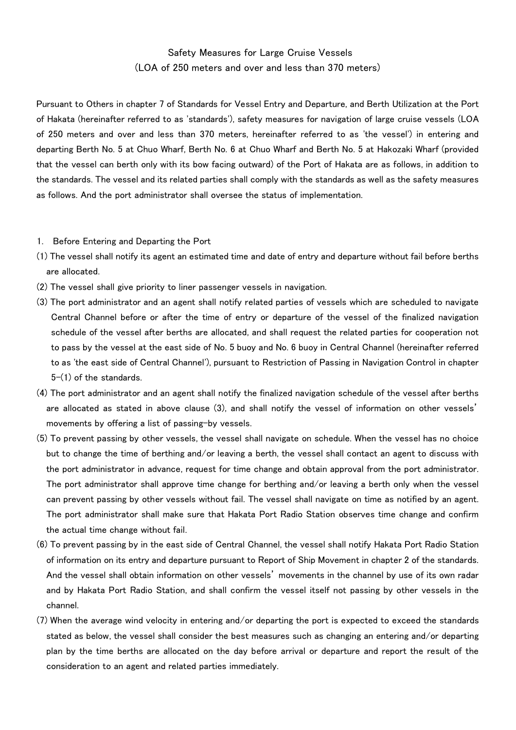# Safety Measures for Large Cruise Vessels (LOA of 250 meters and over and less than 370 meters)

Pursuant to Others in chapter 7 of Standards for Vessel Entry and Departure, and Berth Utilization at the Port of Hakata (hereinafter referred to as 'standards'), safety measures for navigation of large cruise vessels (LOA of 250 meters and over and less than 370 meters, hereinafter referred to as 'the vessel') in entering and departing Berth No. 5 at Chuo Wharf, Berth No. 6 at Chuo Wharf and Berth No. 5 at Hakozaki Wharf (provided that the vessel can berth only with its bow facing outward) of the Port of Hakata are as follows, in addition to the standards. The vessel and its related parties shall comply with the standards as well as the safety measures as follows. And the port administrator shall oversee the status of implementation.

- 1. Before Entering and Departing the Port
- (1) The vessel shall notify its agent an estimated time and date of entry and departure without fail before berths are allocated.
- (2) The vessel shall give priority to liner passenger vessels in navigation.
- (3) The port administrator and an agent shall notify related parties of vessels which are scheduled to navigate Central Channel before or after the time of entry or departure of the vessel of the finalized navigation schedule of the vessel after berths are allocated, and shall request the related parties for cooperation not to pass by the vessel at the east side of No. 5 buoy and No. 6 buoy in Central Channel (hereinafter referred to as 'the east side of Central Channel'), pursuant to Restriction of Passing in Navigation Control in chapter 5-(1) of the standards.
- (4) The port administrator and an agent shall notify the finalized navigation schedule of the vessel after berths are allocated as stated in above clause (3), and shall notify the vessel of information on other vessels' movements by offering a list of passing-by vessels.
- (5) To prevent passing by other vessels, the vessel shall navigate on schedule. When the vessel has no choice but to change the time of berthing and/or leaving a berth, the vessel shall contact an agent to discuss with the port administrator in advance, request for time change and obtain approval from the port administrator. The port administrator shall approve time change for berthing and/or leaving a berth only when the vessel can prevent passing by other vessels without fail. The vessel shall navigate on time as notified by an agent. The port administrator shall make sure that Hakata Port Radio Station observes time change and confirm the actual time change without fail.
- (6) To prevent passing by in the east side of Central Channel, the vessel shall notify Hakata Port Radio Station of information on its entry and departure pursuant to Report of Ship Movement in chapter 2 of the standards. And the vessel shall obtain information on other vessels' movements in the channel by use of its own radar and by Hakata Port Radio Station, and shall confirm the vessel itself not passing by other vessels in the channel.
- (7) When the average wind velocity in entering and/or departing the port is expected to exceed the standards stated as below, the vessel shall consider the best measures such as changing an entering and/or departing plan by the time berths are allocated on the day before arrival or departure and report the result of the consideration to an agent and related parties immediately.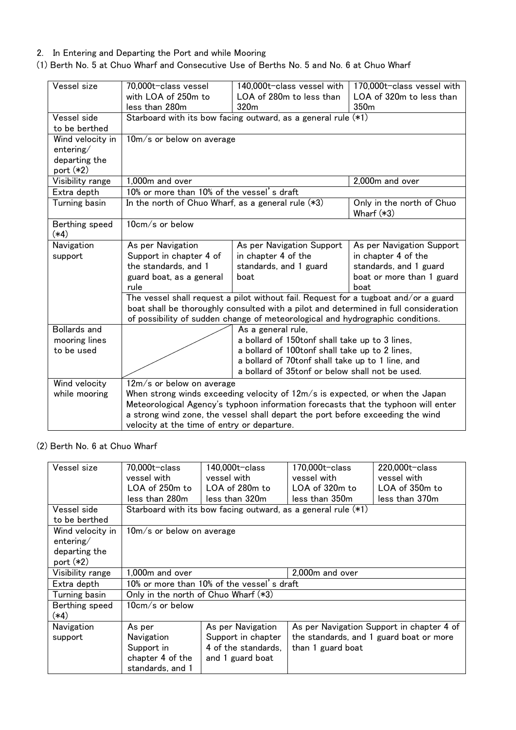### 2. In Entering and Departing the Port and while Mooring

# (1) Berth No. 5 at Chuo Wharf and Consecutive Use of Berths No. 5 and No. 6 at Chuo Wharf

| Vessel size                                                 | 70,000t-class vessel<br>with LOA of 250m to<br>less than 280m                                     | 140,000t-class vessel with<br>LOA of 280m to less than<br>320m                                                                                                              | 170,000t-class vessel with<br>LOA of 320m to less than<br>350m |  |  |  |
|-------------------------------------------------------------|---------------------------------------------------------------------------------------------------|-----------------------------------------------------------------------------------------------------------------------------------------------------------------------------|----------------------------------------------------------------|--|--|--|
| Vessel side                                                 |                                                                                                   | Starboard with its bow facing outward, as a general rule (*1)                                                                                                               |                                                                |  |  |  |
| to be berthed                                               |                                                                                                   |                                                                                                                                                                             |                                                                |  |  |  |
| Wind velocity in<br>entering/<br>departing the<br>port (*2) |                                                                                                   | 10m/s or below on average                                                                                                                                                   |                                                                |  |  |  |
| Visibility range                                            | 1,000m and over                                                                                   |                                                                                                                                                                             | 2,000m and over                                                |  |  |  |
| Extra depth                                                 | 10% or more than 10% of the vessel's draft                                                        |                                                                                                                                                                             |                                                                |  |  |  |
| Turning basin                                               | In the north of Chuo Wharf, as a general rule $(*3)$<br>Only in the north of Chuo<br>Wharf $(*3)$ |                                                                                                                                                                             |                                                                |  |  |  |
| Berthing speed<br>$(*4)$                                    | 10cm/s or below                                                                                   |                                                                                                                                                                             |                                                                |  |  |  |
| Navigation                                                  | As per Navigation                                                                                 | As per Navigation Support                                                                                                                                                   | As per Navigation Support                                      |  |  |  |
| support                                                     | Support in chapter 4 of                                                                           | in chapter 4 of the                                                                                                                                                         | in chapter 4 of the                                            |  |  |  |
|                                                             | the standards, and 1                                                                              | standards, and 1 guard                                                                                                                                                      | standards, and 1 guard                                         |  |  |  |
|                                                             | guard boat, as a general<br>rule                                                                  | boat or more than 1 guard<br>boat<br>boat                                                                                                                                   |                                                                |  |  |  |
|                                                             |                                                                                                   | The vessel shall request a pilot without fail. Request for a tugboat and/or a guard<br>boat shall be thoroughly consulted with a pilot and determined in full consideration |                                                                |  |  |  |
| <b>Bollards and</b>                                         |                                                                                                   | of possibility of sudden change of meteorological and hydrographic conditions.                                                                                              |                                                                |  |  |  |
| mooring lines                                               |                                                                                                   | As a general rule,<br>a bollard of 150tonf shall take up to 3 lines,                                                                                                        |                                                                |  |  |  |
| to be used                                                  |                                                                                                   | a bollard of 100tonf shall take up to 2 lines,                                                                                                                              |                                                                |  |  |  |
|                                                             |                                                                                                   | a bollard of 70tonf shall take up to 1 line, and                                                                                                                            |                                                                |  |  |  |
|                                                             |                                                                                                   | a bollard of 35tonf or below shall not be used.                                                                                                                             |                                                                |  |  |  |
| Wind velocity                                               | $12m/s$ or below on average                                                                       |                                                                                                                                                                             |                                                                |  |  |  |
| while mooring                                               |                                                                                                   | When strong winds exceeding velocity of $12m/s$ is expected, or when the Japan                                                                                              |                                                                |  |  |  |
|                                                             |                                                                                                   | Meteorological Agency's typhoon information forecasts that the typhoon will enter                                                                                           |                                                                |  |  |  |
|                                                             | a strong wind zone, the vessel shall depart the port before exceeding the wind                    |                                                                                                                                                                             |                                                                |  |  |  |
|                                                             | velocity at the time of entry or departure.                                                       |                                                                                                                                                                             |                                                                |  |  |  |

### (2) Berth No. 6 at Chuo Wharf

| Vessel size      | 70,000t-class                              | 140,000t-class                                                  | 170,000t-class    | $220,000t$ - class                        |
|------------------|--------------------------------------------|-----------------------------------------------------------------|-------------------|-------------------------------------------|
|                  | vessel with                                | vessel with                                                     | vessel with       | vessel with                               |
|                  | $LOA$ of 250 $m$ to                        | LOA of 280m to                                                  | LOA of 320m to    | LOA of 350m to                            |
|                  | less than 280m                             | less than 320m                                                  | less than 350m    | less than 370m                            |
| Vessel side      |                                            | Starboard with its bow facing outward, as a general rule $(*1)$ |                   |                                           |
| to be berthed    |                                            |                                                                 |                   |                                           |
| Wind velocity in | 10m/s or below on average                  |                                                                 |                   |                                           |
| entering/        |                                            |                                                                 |                   |                                           |
| departing the    |                                            |                                                                 |                   |                                           |
| port (*2)        |                                            |                                                                 |                   |                                           |
| Visibility range | 1,000m and over                            |                                                                 | 2,000m and over   |                                           |
| Extra depth      | 10% or more than 10% of the vessel's draft |                                                                 |                   |                                           |
| Turning basin    | Only in the north of Chuo Wharf (*3)       |                                                                 |                   |                                           |
| Berthing speed   | $10cm/s$ or below                          |                                                                 |                   |                                           |
| (*4)             |                                            |                                                                 |                   |                                           |
| Navigation       | As per                                     | As per Navigation                                               |                   | As per Navigation Support in chapter 4 of |
| support          | Navigation                                 | Support in chapter                                              |                   | the standards, and 1 guard boat or more   |
|                  | Support in                                 | 4 of the standards,                                             | than 1 guard boat |                                           |
|                  | chapter 4 of the                           | and 1 guard boat                                                |                   |                                           |
|                  | standards, and 1                           |                                                                 |                   |                                           |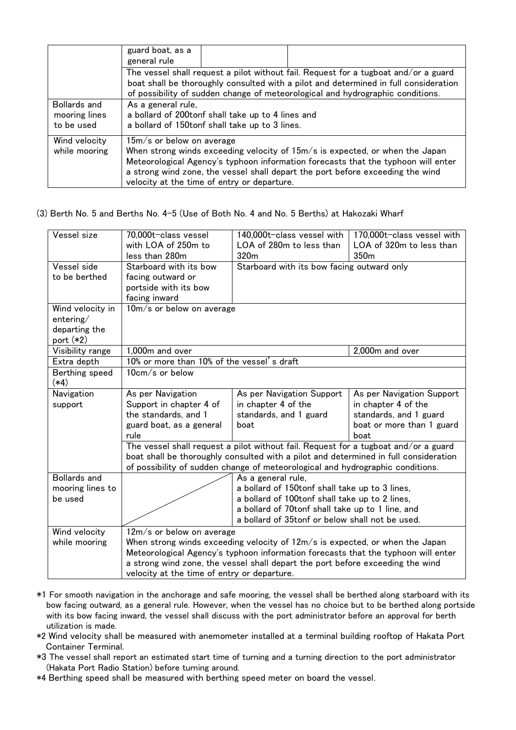|                                                                                                                                                                                                                                                               | guard boat, as a<br>general rule |                                                                                                     |                                                                                                                                                                                                                                                     |  |
|---------------------------------------------------------------------------------------------------------------------------------------------------------------------------------------------------------------------------------------------------------------|----------------------------------|-----------------------------------------------------------------------------------------------------|-----------------------------------------------------------------------------------------------------------------------------------------------------------------------------------------------------------------------------------------------------|--|
| The vessel shall request a pilot without fail. Request for a tugboat and/or a guard<br>boat shall be thoroughly consulted with a pilot and determined in full consideration<br>of possibility of sudden change of meteorological and hydrographic conditions. |                                  |                                                                                                     |                                                                                                                                                                                                                                                     |  |
| <b>Bollards and</b><br>mooring lines<br>to be used                                                                                                                                                                                                            | As a general rule,               | a bollard of 200tonf shall take up to 4 lines and<br>a bollard of 150tonf shall take up to 3 lines. |                                                                                                                                                                                                                                                     |  |
| Wind velocity<br>while mooring                                                                                                                                                                                                                                | $15m/s$ or below on average      | velocity at the time of entry or departure.                                                         | When strong winds exceeding velocity of 15m/s is expected, or when the Japan<br>Meteorological Agency's typhoon information forecasts that the typhoon will enter<br>a strong wind zone, the vessel shall depart the port before exceeding the wind |  |

(3) Berth No. 5 and Berths No. 4-5 (Use of Both No. 4 and No. 5 Berths) at Hakozaki Wharf

| Vessel size                                                   | 70,000t-class vessel<br>with LOA of 250m to                                                                                                                                                                                                                                                                                         | 140,000t-class vessel with<br>LOA of 280m to less than                                                                                                                                                                        | 170,000t-class vessel with<br>LOA of 320m to less than                                                          |
|---------------------------------------------------------------|-------------------------------------------------------------------------------------------------------------------------------------------------------------------------------------------------------------------------------------------------------------------------------------------------------------------------------------|-------------------------------------------------------------------------------------------------------------------------------------------------------------------------------------------------------------------------------|-----------------------------------------------------------------------------------------------------------------|
| Vessel side<br>to be berthed                                  | less than 280m<br>Starboard with its bow<br>facing outward or<br>portside with its bow<br>facing inward                                                                                                                                                                                                                             | 350m<br>320m<br>Starboard with its bow facing outward only                                                                                                                                                                    |                                                                                                                 |
| Wind velocity in<br>entering/<br>departing the<br>port $(*2)$ | $10m/s$ or below on average                                                                                                                                                                                                                                                                                                         |                                                                                                                                                                                                                               |                                                                                                                 |
| Visibility range                                              | 1,000m and over                                                                                                                                                                                                                                                                                                                     | 2,000m and over                                                                                                                                                                                                               |                                                                                                                 |
| Extra depth                                                   | 10% or more than 10% of the vessel's draft                                                                                                                                                                                                                                                                                          |                                                                                                                                                                                                                               |                                                                                                                 |
| Berthing speed<br>$(*4)$                                      | $10cm/s$ or below                                                                                                                                                                                                                                                                                                                   |                                                                                                                                                                                                                               |                                                                                                                 |
| Navigation<br>support                                         | As per Navigation<br>Support in chapter 4 of<br>the standards, and 1<br>guard boat, as a general<br>rule                                                                                                                                                                                                                            | As per Navigation Support<br>in chapter 4 of the<br>standards, and 1 guard<br>boat                                                                                                                                            | As per Navigation Support<br>in chapter 4 of the<br>standards, and 1 guard<br>boat or more than 1 guard<br>boat |
|                                                               | The vessel shall request a pilot without fail. Request for a tugboat and/or a guard<br>boat shall be thoroughly consulted with a pilot and determined in full consideration<br>of possibility of sudden change of meteorological and hydrographic conditions.                                                                       |                                                                                                                                                                                                                               |                                                                                                                 |
| <b>Bollards and</b><br>mooring lines to<br>be used            |                                                                                                                                                                                                                                                                                                                                     | As a general rule,<br>a bollard of 150tonf shall take up to 3 lines,<br>a bollard of 100tonf shall take up to 2 lines,<br>a bollard of 70tonf shall take up to 1 line, and<br>a bollard of 35tonf or below shall not be used. |                                                                                                                 |
| Wind velocity<br>while mooring                                | $12m/s$ or below on average<br>When strong winds exceeding velocity of $12m/s$ is expected, or when the Japan<br>Meteorological Agency's typhoon information forecasts that the typhoon will enter<br>a strong wind zone, the vessel shall depart the port before exceeding the wind<br>velocity at the time of entry or departure. |                                                                                                                                                                                                                               |                                                                                                                 |

- \*1 For smooth navigation in the anchorage and safe mooring, the vessel shall be berthed along starboard with its bow facing outward, as a general rule. However, when the vessel has no choice but to be berthed along portside with its bow facing inward, the vessel shall discuss with the port administrator before an approval for berth utilization is made.
- \*2 Wind velocity shall be measured with anemometer installed at a terminal building rooftop of Hakata Port Container Terminal.
- \*3 The vessel shall report an estimated start time of turning and a turning direction to the port administrator (Hakata Port Radio Station) before turning around.
- \*4 Berthing speed shall be measured with berthing speed meter on board the vessel.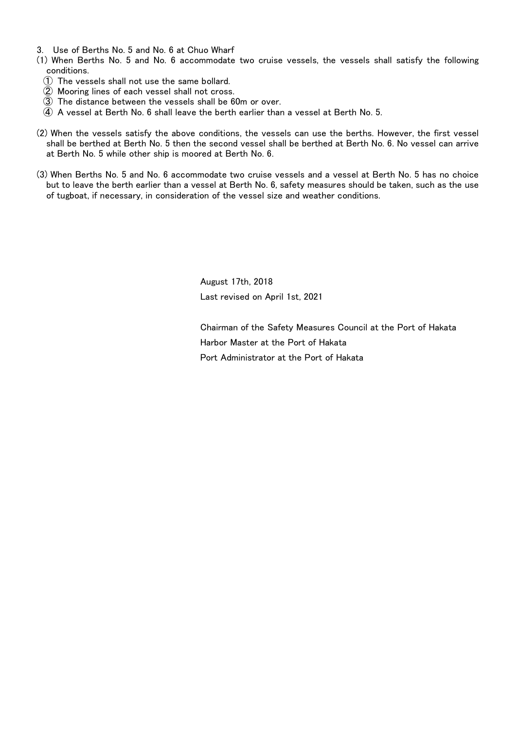- 3. Use of Berths No. 5 and No. 6 at Chuo Wharf
- (1) When Berths No. 5 and No. 6 accommodate two cruise vessels, the vessels shall satisfy the following conditions.
	- ① The vessels shall not use the same bollard.
	- ② Mooring lines of each vessel shall not cross.
	- ③ The distance between the vessels shall be 60m or over.
	- ④ A vessel at Berth No. 6 shall leave the berth earlier than a vessel at Berth No. 5.
- (2) When the vessels satisfy the above conditions, the vessels can use the berths. However, the first vessel shall be berthed at Berth No. 5 then the second vessel shall be berthed at Berth No. 6. No vessel can arrive at Berth No. 5 while other ship is moored at Berth No. 6.
- (3) When Berths No. 5 and No. 6 accommodate two cruise vessels and a vessel at Berth No. 5 has no choice but to leave the berth earlier than a vessel at Berth No. 6, safety measures should be taken, such as the use of tugboat, if necessary, in consideration of the vessel size and weather conditions.

August 17th, 2018 Last revised on April 1st, 2021

Chairman of the Safety Measures Council at the Port of Hakata Harbor Master at the Port of Hakata Port Administrator at the Port of Hakata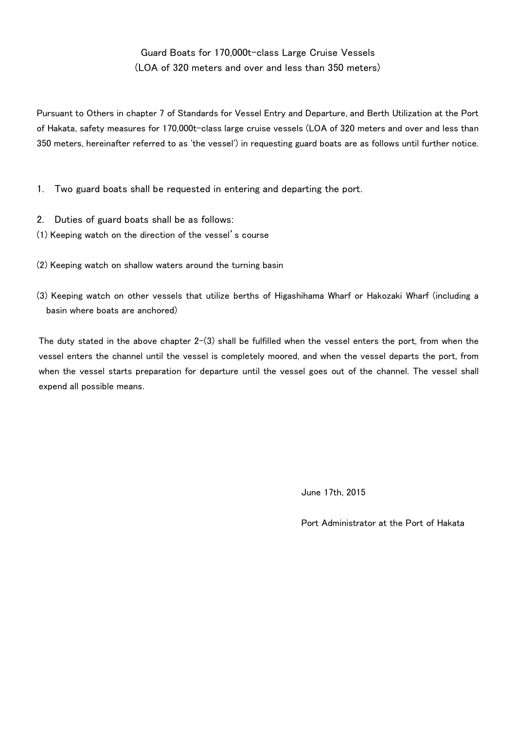# Guard Boats for 170,000t-class Large Cruise Vessels (LOA of 320 meters and over and less than 350 meters)

Pursuant to Others in chapter 7 of Standards for Vessel Entry and Departure, and Berth Utilization at the Port of Hakata, safety measures for 170,000t-class large cruise vessels (LOA of 320 meters and over and less than 350 meters, hereinafter referred to as 'the vessel') in requesting guard boats are as follows until further notice.

- 1. Two guard boats shall be requested in entering and departing the port.
- 2. Duties of guard boats shall be as follows:
- (1) Keeping watch on the direction of the vessel's course
- (2) Keeping watch on shallow waters around the turning basin
- (3) Keeping watch on other vessels that utilize berths of Higashihama Wharf or Hakozaki Wharf (including a basin where boats are anchored)

The duty stated in the above chapter  $2-(3)$  shall be fulfilled when the vessel enters the port, from when the vessel enters the channel until the vessel is completely moored, and when the vessel departs the port, from when the vessel starts preparation for departure until the vessel goes out of the channel. The vessel shall expend all possible means.

June 17th, 2015

Port Administrator at the Port of Hakata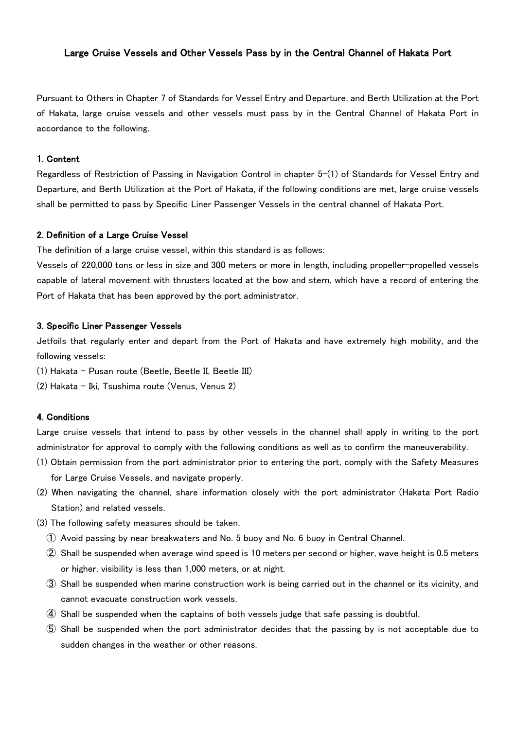### Large Cruise Vessels and Other Vessels Pass by in the Central Channel of Hakata Port

Pursuant to Others in Chapter 7 of Standards for Vessel Entry and Departure, and Berth Utilization at the Port of Hakata, large cruise vessels and other vessels must pass by in the Central Channel of Hakata Port in accordance to the following.

#### 1. Content

Regardless of Restriction of Passing in Navigation Control in chapter 5-(1) of Standards for Vessel Entry and Departure, and Berth Utilization at the Port of Hakata, if the following conditions are met, large cruise vessels shall be permitted to pass by Specific Liner Passenger Vessels in the central channel of Hakata Port.

#### 2. Definition of a Large Cruise Vessel

The definition of a large cruise vessel, within this standard is as follows:

Vessels of 220,000 tons or less in size and 300 meters or more in length, including propeller-propelled vessels capable of lateral movement with thrusters located at the bow and stern, which have a record of entering the Port of Hakata that has been approved by the port administrator.

#### 3. Specific Liner Passenger Vessels

Jetfoils that regularly enter and depart from the Port of Hakata and have extremely high mobility, and the following vessels:

- (1) Hakata Pusan route (Beetle, Beetle II, Beetle III)
- (2) Hakata Iki, Tsushima route (Venus, Venus 2)

#### 4. Conditions

Large cruise vessels that intend to pass by other vessels in the channel shall apply in writing to the port administrator for approval to comply with the following conditions as well as to confirm the maneuverability.

- (1) Obtain permission from the port administrator prior to entering the port, comply with the Safety Measures for Large Cruise Vessels, and navigate properly.
- (2) When navigating the channel, share information closely with the port administrator (Hakata Port Radio Station) and related vessels.
- (3) The following safety measures should be taken.
	- ① Avoid passing by near breakwaters and No. 5 buoy and No. 6 buoy in Central Channel.
	- ② Shall be suspended when average wind speed is 10 meters per second or higher, wave height is 0.5 meters or higher, visibility is less than 1,000 meters, or at night.
	- ③ Shall be suspended when marine construction work is being carried out in the channel or its vicinity, and cannot evacuate construction work vessels.
	- ④ Shall be suspended when the captains of both vessels judge that safe passing is doubtful.
	- ⑤ Shall be suspended when the port administrator decides that the passing by is not acceptable due to sudden changes in the weather or other reasons.